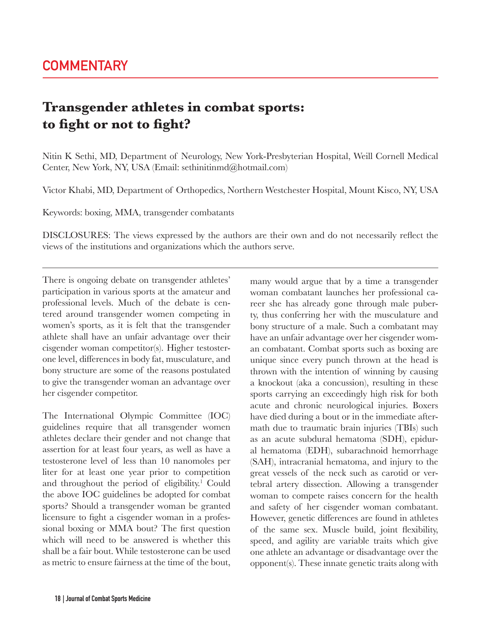## **Transgender athletes in combat sports: to fight or not to fight?**

Nitin K Sethi, MD, Department of Neurology, New York-Presbyterian Hospital, Weill Cornell Medical Center, New York, NY, USA (Email: sethinitinmd@hotmail.com)

Victor Khabi, MD, Department of Orthopedics, Northern Westchester Hospital, Mount Kisco, NY, USA

Keywords: boxing, MMA, transgender combatants

DISCLOSURES: The views expressed by the authors are their own and do not necessarily reflect the views of the institutions and organizations which the authors serve.

There is ongoing debate on transgender athletes' participation in various sports at the amateur and professional levels. Much of the debate is centered around transgender women competing in women's sports, as it is felt that the transgender athlete shall have an unfair advantage over their cisgender woman competitor(s). Higher testosterone level, differences in body fat, musculature, and bony structure are some of the reasons postulated to give the transgender woman an advantage over her cisgender competitor.

The International Olympic Committee (IOC) guidelines require that all transgender women athletes declare their gender and not change that assertion for at least four years, as well as have a testosterone level of less than 10 nanomoles per liter for at least one year prior to competition and throughout the period of eligibility.<sup>1</sup> Could the above IOC guidelines be adopted for combat sports? Should a transgender woman be granted licensure to fight a cisgender woman in a professional boxing or MMA bout? The first question which will need to be answered is whether this shall be a fair bout. While testosterone can be used as metric to ensure fairness at the time of the bout,

many would argue that by a time a transgender woman combatant launches her professional career she has already gone through male puberty, thus conferring her with the musculature and bony structure of a male. Such a combatant may have an unfair advantage over her cisgender woman combatant. Combat sports such as boxing are unique since every punch thrown at the head is thrown with the intention of winning by causing a knockout (aka a concussion), resulting in these sports carrying an exceedingly high risk for both acute and chronic neurological injuries. Boxers have died during a bout or in the immediate aftermath due to traumatic brain injuries (TBIs) such as an acute subdural hematoma (SDH), epidural hematoma (EDH), subarachnoid hemorrhage (SAH), intracranial hematoma, and injury to the great vessels of the neck such as carotid or vertebral artery dissection. Allowing a transgender woman to compete raises concern for the health and safety of her cisgender woman combatant. However, genetic differences are found in athletes of the same sex. Muscle build, joint flexibility, speed, and agility are variable traits which give one athlete an advantage or disadvantage over the opponent(s). These innate genetic traits along with